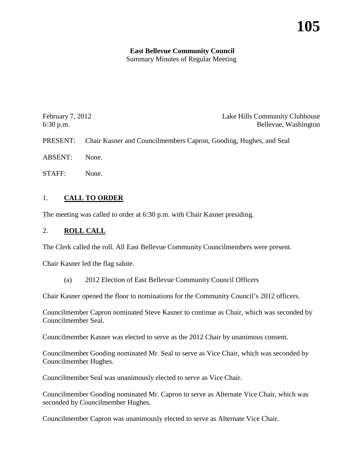# **East Bellevue Community Council**

Summary Minutes of Regular Meeting

| February $7, 2012$ | Lake Hills Community Clubhouse                                             |
|--------------------|----------------------------------------------------------------------------|
| $6:30$ p.m.        | Bellevue, Washington                                                       |
|                    | PRESENT: Chair Kasner and Councilmembers Capron, Gooding, Hughes, and Seal |
| <b>ABSENT:</b>     | None.                                                                      |

STAFF: None.

## 1. **CALL TO ORDER**

The meeting was called to order at 6:30 p.m. with Chair Kasner presiding.

# 2. **ROLL CALL**

The Clerk called the roll. All East Bellevue Community Councilmembers were present.

Chair Kasner led the flag salute.

(a) 2012 Election of East Bellevue Community Council Officers

Chair Kasner opened the floor to nominations for the Community Council's 2012 officers.

Councilmember Capron nominated Steve Kasner to continue as Chair, which was seconded by Councilmember Seal.

Councilmember Kasner was elected to serve as the 2012 Chair by unanimous consent.

Councilmember Gooding nominated Mr. Seal to serve as Vice Chair, which was seconded by Councilmember Hughes.

Councilmember Seal was unanimously elected to serve as Vice Chair.

Councilmember Gooding nominated Mr. Capron to serve as Alternate Vice Chair, which was seconded by Councilmember Hughes.

Councilmember Capron was unanimously elected to serve as Alternate Vice Chair.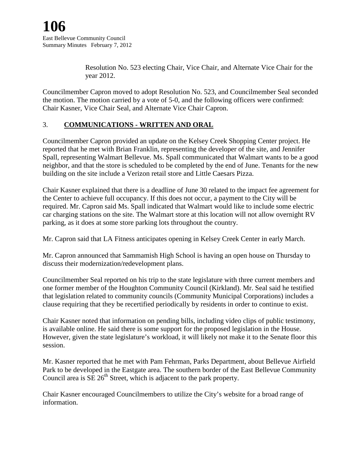Resolution No. 523 electing Chair, Vice Chair, and Alternate Vice Chair for the year 2012.

Councilmember Capron moved to adopt Resolution No. 523, and Councilmember Seal seconded the motion. The motion carried by a vote of 5-0, and the following officers were confirmed: Chair Kasner, Vice Chair Seal, and Alternate Vice Chair Capron.

## 3. **COMMUNICATIONS - WRITTEN AND ORAL**

Councilmember Capron provided an update on the Kelsey Creek Shopping Center project. He reported that he met with Brian Franklin, representing the developer of the site, and Jennifer Spall, representing Walmart Bellevue. Ms. Spall communicated that Walmart wants to be a good neighbor, and that the store is scheduled to be completed by the end of June. Tenants for the new building on the site include a Verizon retail store and Little Caesars Pizza.

Chair Kasner explained that there is a deadline of June 30 related to the impact fee agreement for the Center to achieve full occupancy. If this does not occur, a payment to the City will be required. Mr. Capron said Ms. Spall indicated that Walmart would like to include some electric car charging stations on the site. The Walmart store at this location will not allow overnight RV parking, as it does at some store parking lots throughout the country.

Mr. Capron said that LA Fitness anticipates opening in Kelsey Creek Center in early March.

Mr. Capron announced that Sammamish High School is having an open house on Thursday to discuss their modernization/redevelopment plans.

Councilmember Seal reported on his trip to the state legislature with three current members and one former member of the Houghton Community Council (Kirkland). Mr. Seal said he testified that legislation related to community councils (Community Municipal Corporations) includes a clause requiring that they be recertified periodically by residents in order to continue to exist.

Chair Kasner noted that information on pending bills, including video clips of public testimony, is available online. He said there is some support for the proposed legislation in the House. However, given the state legislature's workload, it will likely not make it to the Senate floor this session.

Mr. Kasner reported that he met with Pam Fehrman, Parks Department, about Bellevue Airfield Park to be developed in the Eastgate area. The southern border of the East Bellevue Community Council area is  $SE 26<sup>th</sup>$  Street, which is adjacent to the park property.

Chair Kasner encouraged Councilmembers to utilize the City's website for a broad range of information.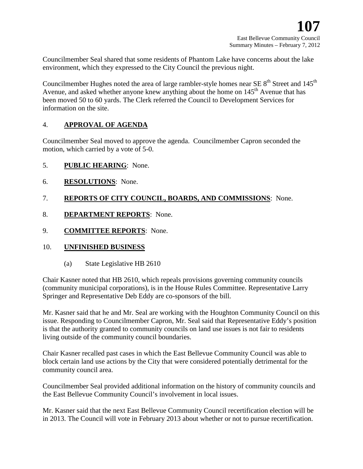Councilmember Seal shared that some residents of Phantom Lake have concerns about the lake environment, which they expressed to the City Council the previous night.

Councilmember Hughes noted the area of large rambler-style homes near SE  $8<sup>th</sup>$  Street and 145<sup>th</sup> Avenue, and asked whether anyone knew anything about the home on  $145<sup>th</sup>$  Avenue that has been moved 50 to 60 yards. The Clerk referred the Council to Development Services for information on the site.

## 4. **APPROVAL OF AGENDA**

Councilmember Seal moved to approve the agenda. Councilmember Capron seconded the motion, which carried by a vote of 5-0.

- 5. **PUBLIC HEARING**: None.
- 6. **RESOLUTIONS**: None.
- 7. **REPORTS OF CITY COUNCIL, BOARDS, AND COMMISSIONS**: None.
- 8. **DEPARTMENT REPORTS**: None.
- 9. **COMMITTEE REPORTS**: None.

## 10. **UNFINISHED BUSINESS**

(a) State Legislative HB 2610

Chair Kasner noted that HB 2610, which repeals provisions governing community councils (community municipal corporations), is in the House Rules Committee. Representative Larry Springer and Representative Deb Eddy are co-sponsors of the bill.

Mr. Kasner said that he and Mr. Seal are working with the Houghton Community Council on this issue. Responding to Councilmember Capron, Mr. Seal said that Representative Eddy's position is that the authority granted to community councils on land use issues is not fair to residents living outside of the community council boundaries.

Chair Kasner recalled past cases in which the East Bellevue Community Council was able to block certain land use actions by the City that were considered potentially detrimental for the community council area.

Councilmember Seal provided additional information on the history of community councils and the East Bellevue Community Council's involvement in local issues.

Mr. Kasner said that the next East Bellevue Community Council recertification election will be in 2013. The Council will vote in February 2013 about whether or not to pursue recertification.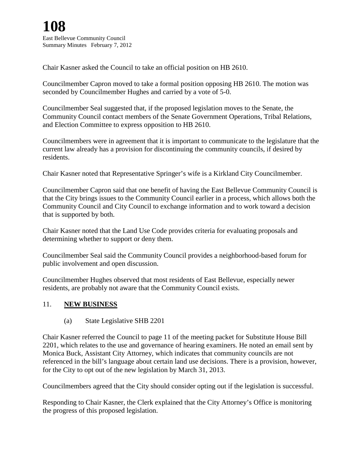Chair Kasner asked the Council to take an official position on HB 2610.

Councilmember Capron moved to take a formal position opposing HB 2610. The motion was seconded by Councilmember Hughes and carried by a vote of 5-0.

Councilmember Seal suggested that, if the proposed legislation moves to the Senate, the Community Council contact members of the Senate Government Operations, Tribal Relations, and Election Committee to express opposition to HB 2610.

Councilmembers were in agreement that it is important to communicate to the legislature that the current law already has a provision for discontinuing the community councils, if desired by residents.

Chair Kasner noted that Representative Springer's wife is a Kirkland City Councilmember.

Councilmember Capron said that one benefit of having the East Bellevue Community Council is that the City brings issues to the Community Council earlier in a process, which allows both the Community Council and City Council to exchange information and to work toward a decision that is supported by both.

Chair Kasner noted that the Land Use Code provides criteria for evaluating proposals and determining whether to support or deny them.

Councilmember Seal said the Community Council provides a neighborhood-based forum for public involvement and open discussion.

Councilmember Hughes observed that most residents of East Bellevue, especially newer residents, are probably not aware that the Community Council exists.

## 11. **NEW BUSINESS**

(a) State Legislative SHB 2201

Chair Kasner referred the Council to page 11 of the meeting packet for Substitute House Bill 2201, which relates to the use and governance of hearing examiners. He noted an email sent by Monica Buck, Assistant City Attorney, which indicates that community councils are not referenced in the bill's language about certain land use decisions. There is a provision, however, for the City to opt out of the new legislation by March 31, 2013.

Councilmembers agreed that the City should consider opting out if the legislation is successful.

Responding to Chair Kasner, the Clerk explained that the City Attorney's Office is monitoring the progress of this proposed legislation.